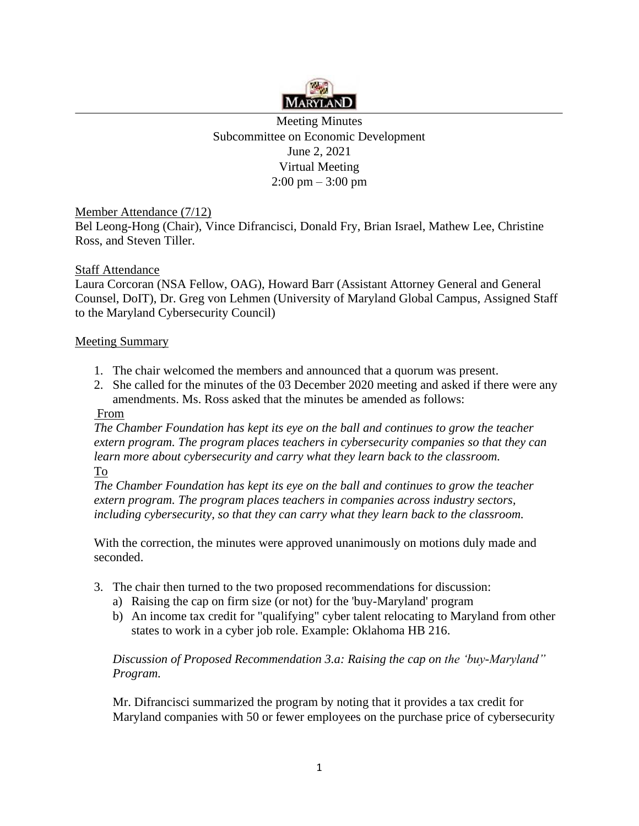

Meeting Minutes Subcommittee on Economic Development June 2, 2021 Virtual Meeting  $2:00 \text{ pm} - 3:00 \text{ pm}$ 

Member Attendance (7/12)

Bel Leong-Hong (Chair), Vince Difrancisci, Donald Fry, Brian Israel, Mathew Lee, Christine Ross, and Steven Tiller.

## **Staff Attendance**

Laura Corcoran (NSA Fellow, OAG), Howard Barr (Assistant Attorney General and General Counsel, DoIT), Dr. Greg von Lehmen (University of Maryland Global Campus, Assigned Staff to the Maryland Cybersecurity Council)

## Meeting Summary

- 1. The chair welcomed the members and announced that a quorum was present.
- 2. She called for the minutes of the 03 December 2020 meeting and asked if there were any amendments. Ms. Ross asked that the minutes be amended as follows:

## From

*The Chamber Foundation has kept its eye on the ball and continues to grow the teacher extern program. The program places teachers in cybersecurity companies so that they can learn more about cybersecurity and carry what they learn back to the classroom.*  To

*The Chamber Foundation has kept its eye on the ball and continues to grow the teacher extern program. The program places teachers in companies across industry sectors, including cybersecurity, so that they can carry what they learn back to the classroom.* 

With the correction, the minutes were approved unanimously on motions duly made and seconded.

- 3. The chair then turned to the two proposed recommendations for discussion:
	- a) Raising the cap on firm size (or not) for the 'buy-Maryland' program
	- b) An income tax credit for "qualifying" cyber talent relocating to Maryland from other states to work in a cyber job role. Example: Oklahoma HB 216.

 *Discussion of Proposed Recommendation 3.a: Raising the cap on the 'buy-Maryland" Program.* 

Mr. Difrancisci summarized the program by noting that it provides a tax credit for Maryland companies with 50 or fewer employees on the purchase price of cybersecurity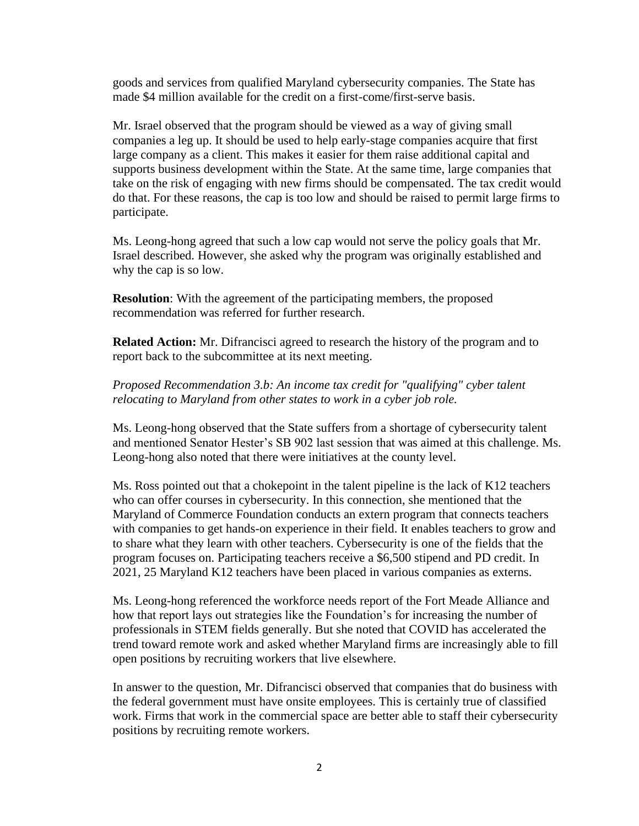goods and services from qualified Maryland cybersecurity companies. The State has made \$4 million available for the credit on a first-come/first-serve basis.

Mr. Israel observed that the program should be viewed as a way of giving small companies a leg up. It should be used to help early-stage companies acquire that first large company as a client. This makes it easier for them raise additional capital and supports business development within the State. At the same time, large companies that take on the risk of engaging with new firms should be compensated. The tax credit would do that. For these reasons, the cap is too low and should be raised to permit large firms to participate.

Ms. Leong-hong agreed that such a low cap would not serve the policy goals that Mr. Israel described. However, she asked why the program was originally established and why the cap is so low.

**Resolution**: With the agreement of the participating members, the proposed recommendation was referred for further research.

**Related Action:** Mr. Difrancisci agreed to research the history of the program and to report back to the subcommittee at its next meeting.

## *Proposed Recommendation 3.b: An income tax credit for "qualifying" cyber talent relocating to Maryland from other states to work in a cyber job role.*

Ms. Leong-hong observed that the State suffers from a shortage of cybersecurity talent and mentioned Senator Hester's SB 902 last session that was aimed at this challenge. Ms. Leong-hong also noted that there were initiatives at the county level.

Ms. Ross pointed out that a chokepoint in the talent pipeline is the lack of K12 teachers who can offer courses in cybersecurity. In this connection, she mentioned that the Maryland of Commerce Foundation conducts an extern program that connects teachers with companies to get hands-on experience in their field. It enables teachers to grow and to share what they learn with other teachers. Cybersecurity is one of the fields that the program focuses on. Participating teachers receive a \$6,500 stipend and PD credit. In 2021, 25 Maryland K12 teachers have been placed in various companies as externs.

Ms. Leong-hong referenced the workforce needs report of the Fort Meade Alliance and how that report lays out strategies like the Foundation's for increasing the number of professionals in STEM fields generally. But she noted that COVID has accelerated the trend toward remote work and asked whether Maryland firms are increasingly able to fill open positions by recruiting workers that live elsewhere.

In answer to the question, Mr. Difrancisci observed that companies that do business with the federal government must have onsite employees. This is certainly true of classified work. Firms that work in the commercial space are better able to staff their cybersecurity positions by recruiting remote workers.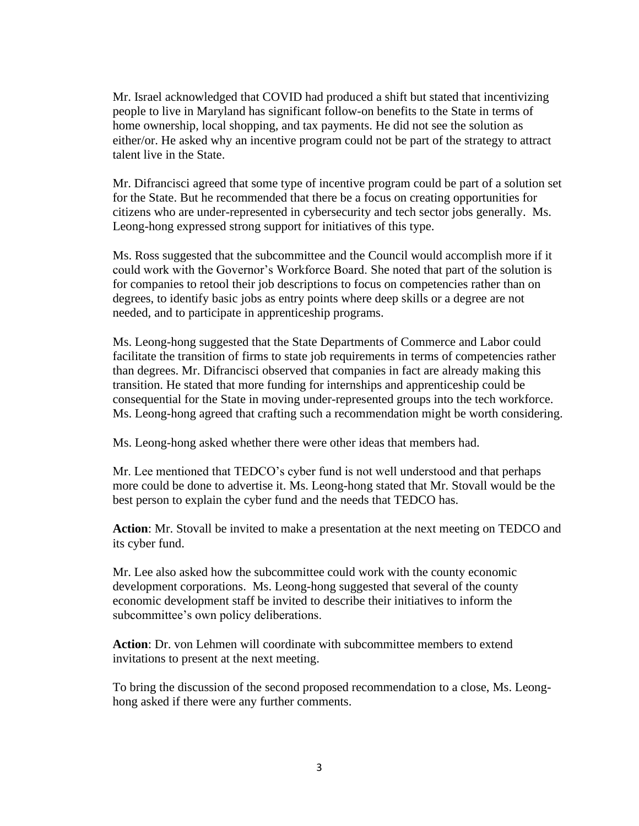Mr. Israel acknowledged that COVID had produced a shift but stated that incentivizing people to live in Maryland has significant follow-on benefits to the State in terms of home ownership, local shopping, and tax payments. He did not see the solution as either/or. He asked why an incentive program could not be part of the strategy to attract talent live in the State.

Mr. Difrancisci agreed that some type of incentive program could be part of a solution set for the State. But he recommended that there be a focus on creating opportunities for citizens who are under-represented in cybersecurity and tech sector jobs generally. Ms. Leong-hong expressed strong support for initiatives of this type.

Ms. Ross suggested that the subcommittee and the Council would accomplish more if it could work with the Governor's Workforce Board. She noted that part of the solution is for companies to retool their job descriptions to focus on competencies rather than on degrees, to identify basic jobs as entry points where deep skills or a degree are not needed, and to participate in apprenticeship programs.

Ms. Leong-hong suggested that the State Departments of Commerce and Labor could facilitate the transition of firms to state job requirements in terms of competencies rather than degrees. Mr. Difrancisci observed that companies in fact are already making this transition. He stated that more funding for internships and apprenticeship could be consequential for the State in moving under-represented groups into the tech workforce. Ms. Leong-hong agreed that crafting such a recommendation might be worth considering.

Ms. Leong-hong asked whether there were other ideas that members had.

Mr. Lee mentioned that TEDCO's cyber fund is not well understood and that perhaps more could be done to advertise it. Ms. Leong-hong stated that Mr. Stovall would be the best person to explain the cyber fund and the needs that TEDCO has.

**Action**: Mr. Stovall be invited to make a presentation at the next meeting on TEDCO and its cyber fund.

Mr. Lee also asked how the subcommittee could work with the county economic development corporations. Ms. Leong-hong suggested that several of the county economic development staff be invited to describe their initiatives to inform the subcommittee's own policy deliberations.

**Action**: Dr. von Lehmen will coordinate with subcommittee members to extend invitations to present at the next meeting.

To bring the discussion of the second proposed recommendation to a close, Ms. Leonghong asked if there were any further comments.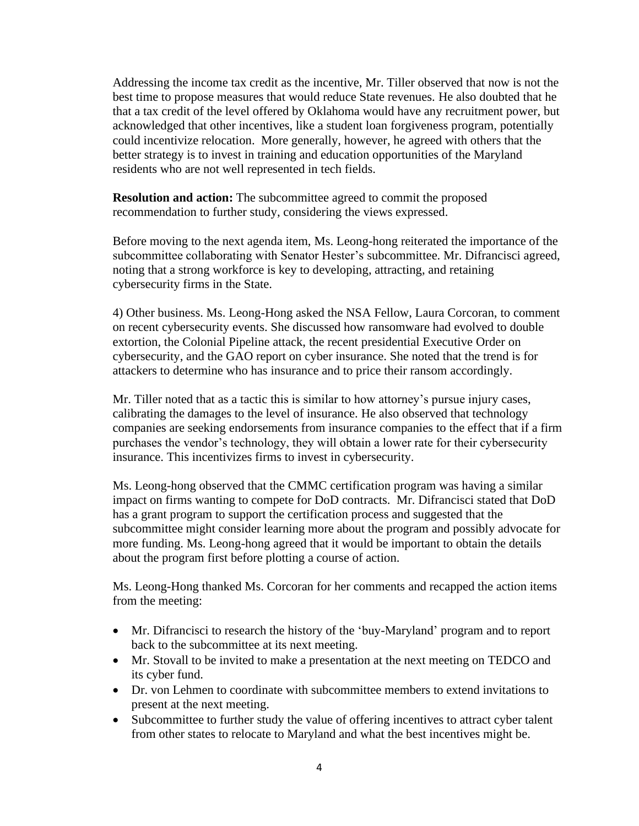Addressing the income tax credit as the incentive, Mr. Tiller observed that now is not the best time to propose measures that would reduce State revenues. He also doubted that he that a tax credit of the level offered by Oklahoma would have any recruitment power, but acknowledged that other incentives, like a student loan forgiveness program, potentially could incentivize relocation. More generally, however, he agreed with others that the better strategy is to invest in training and education opportunities of the Maryland residents who are not well represented in tech fields.

**Resolution and action:** The subcommittee agreed to commit the proposed recommendation to further study, considering the views expressed.

Before moving to the next agenda item, Ms. Leong-hong reiterated the importance of the subcommittee collaborating with Senator Hester's subcommittee. Mr. Difrancisci agreed, noting that a strong workforce is key to developing, attracting, and retaining cybersecurity firms in the State.

4) Other business. Ms. Leong-Hong asked the NSA Fellow, Laura Corcoran, to comment on recent cybersecurity events. She discussed how ransomware had evolved to double extortion, the Colonial Pipeline attack, the recent presidential Executive Order on cybersecurity, and the GAO report on cyber insurance. She noted that the trend is for attackers to determine who has insurance and to price their ransom accordingly.

Mr. Tiller noted that as a tactic this is similar to how attorney's pursue injury cases, calibrating the damages to the level of insurance. He also observed that technology companies are seeking endorsements from insurance companies to the effect that if a firm purchases the vendor's technology, they will obtain a lower rate for their cybersecurity insurance. This incentivizes firms to invest in cybersecurity.

Ms. Leong-hong observed that the CMMC certification program was having a similar impact on firms wanting to compete for DoD contracts. Mr. Difrancisci stated that DoD has a grant program to support the certification process and suggested that the subcommittee might consider learning more about the program and possibly advocate for more funding. Ms. Leong-hong agreed that it would be important to obtain the details about the program first before plotting a course of action.

Ms. Leong-Hong thanked Ms. Corcoran for her comments and recapped the action items from the meeting:

- Mr. Difrancisci to research the history of the 'buy-Maryland' program and to report back to the subcommittee at its next meeting.
- Mr. Stovall to be invited to make a presentation at the next meeting on TEDCO and its cyber fund.
- Dr. von Lehmen to coordinate with subcommittee members to extend invitations to present at the next meeting.
- Subcommittee to further study the value of offering incentives to attract cyber talent from other states to relocate to Maryland and what the best incentives might be.